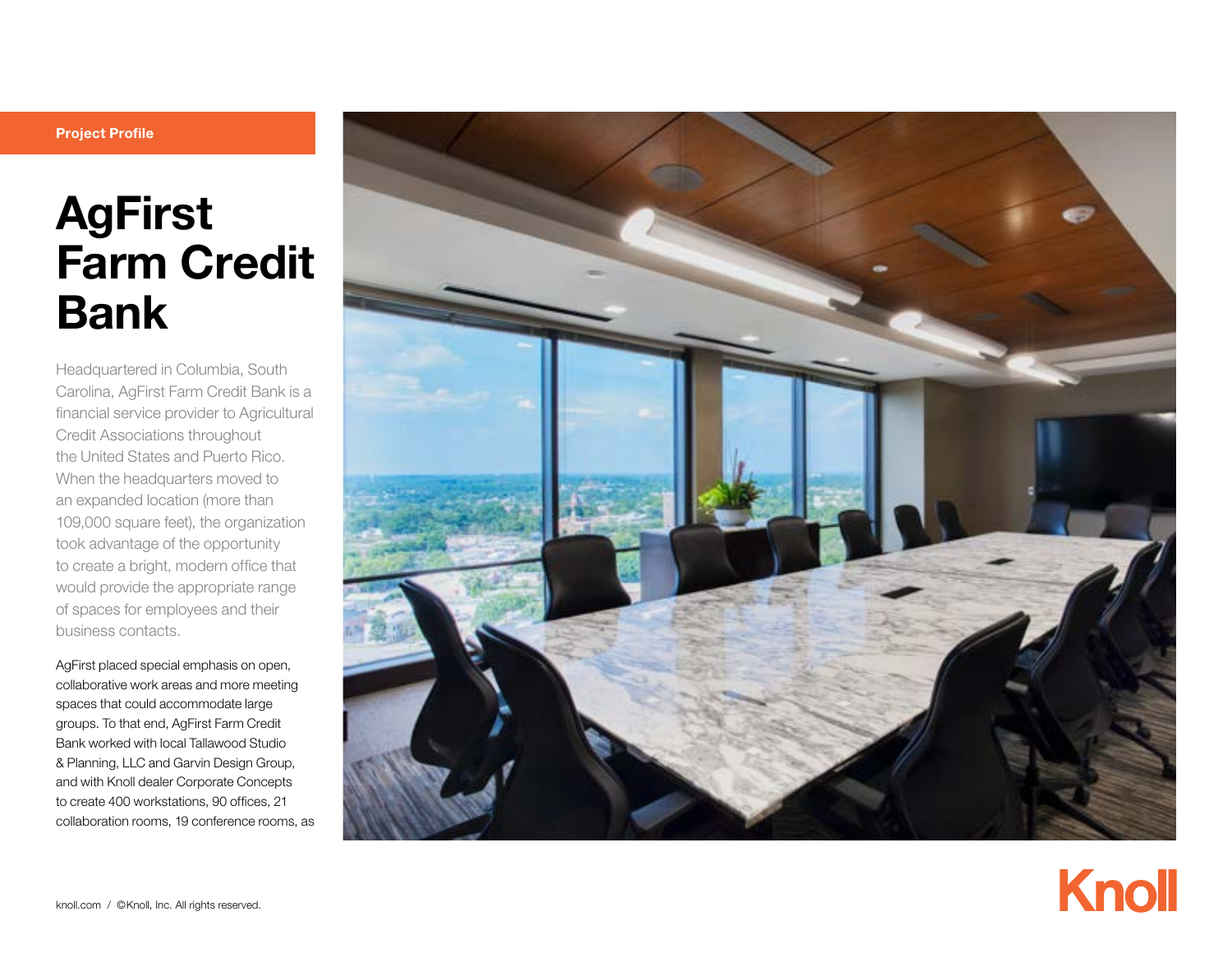# Project Profile

# AgFirst Farm Credit Bank

Headquartered in Columbia, South Carolina, AgFirst Farm Credit Bank is a financial service provider to Agricultural Credit Associations throughout the United States and Puerto Rico. When the headquarters moved to an expanded location (more than 109,000 square feet), the organization took advantage of the opportunity to create a bright, modern office that would provide the appropriate range of spaces for employees and their business contacts.

AgFirst placed special emphasis on open, collaborative work areas and more meeting spaces that could accommodate large groups. To that end, AgFirst Farm Credit Bank worked with local Tallawood Studio & Planning, LLC and Garvin Design Group, and with Knoll dealer Corporate Concepts to create 400 workstations, 90 offices, 21 collaboration rooms, 19 conference rooms, as



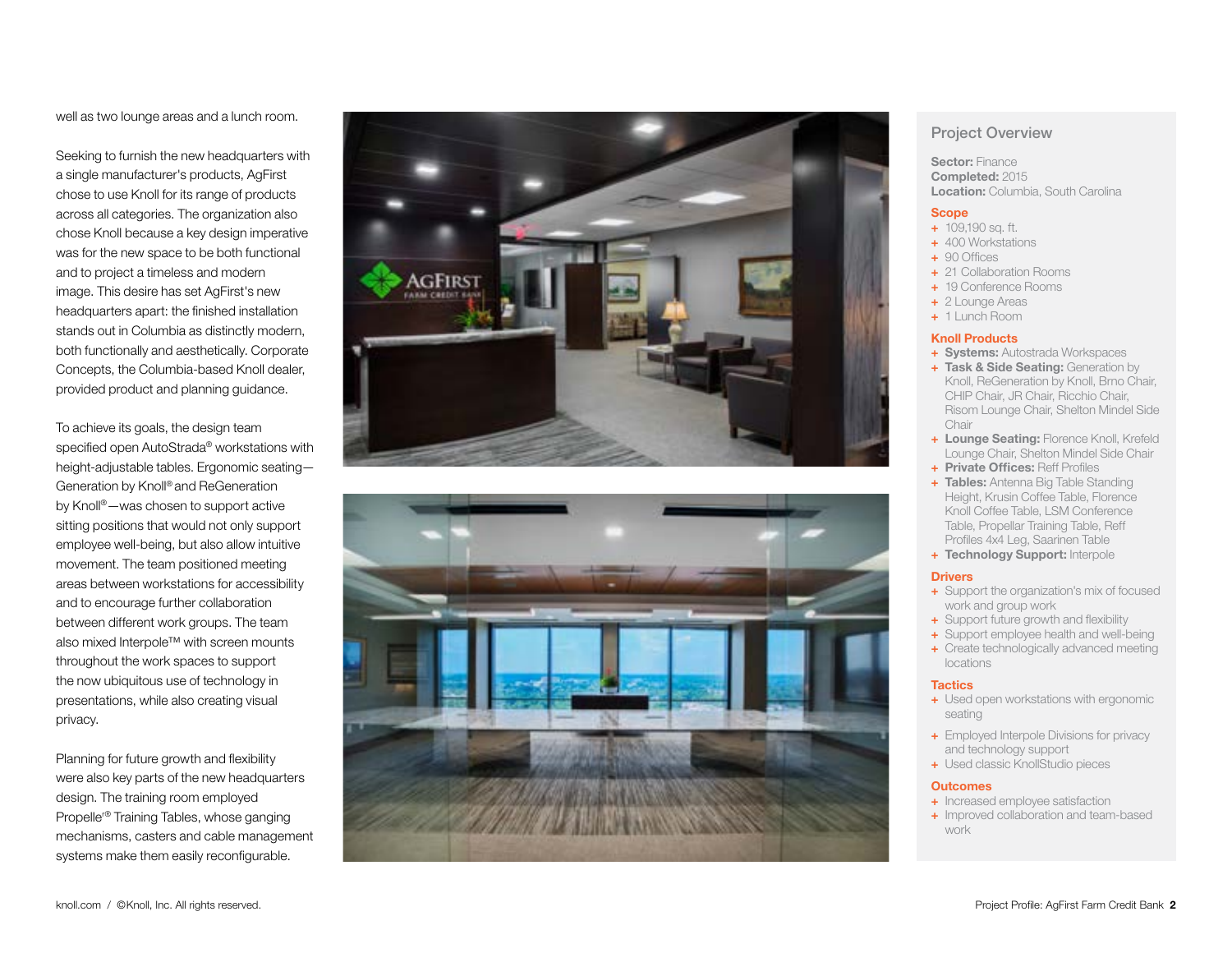well as two lounge areas and a lunch room.

Seeking to furnish the new headquarters with a single manufacturer's products, AgFirst chose to use Knoll for its range of products across all categories. The organization also chose Knoll because a key design imperative was for the new space to be both functional and to project a timeless and modern image. This desire has set AgFirst's new headquarters apart: the finished installation stands out in Columbia as distinctly modern, both functionally and aesthetically. Corporate Concepts, the Columbia-based Knoll dealer, provided product and planning guidance.

To achieve its goals, the design team specified open AutoStrada ® workstations with height-adjustable tables. Ergonomic seating— Generation by Knoll® and ReGeneration by Knoll ®—was chosen to support active sitting positions that would not only support employee well-being, but also allow intuitive movement. The team positioned meeting areas between workstations for accessibility and to encourage further collaboration between different work groups. The team also mixed Interpole™ with screen mounts throughout the work spaces to support the now ubiquitous use of technology in presentations, while also creating visual privacy.

Planning for future growth and flexibility were also key parts of the new headquarters design. The training room employed Propeller® Training Tables, whose ganging mechanisms, casters and cable management systems make them easily reconfigurable.





# Project Overview

Sector: Finance Completed: 2015 Location: Columbia, South Carolina

### **Scope**

- + 109,190 sq. ft.
- + 400 Workstations
- + 90 Offices
- + 21 Collaboration Rooms
- + 19 Conference Rooms
- + 2 Lounge Areas
- + 1 Lunch Room

## Knoll Products

- + Systems: Autostrada Workspaces
- + Task & Side Seating: Generation by Knoll, ReGeneration by Knoll, Brno Chair, CHIP Chair, JR Chair, Ricchio Chair, Risom Lounge Chair, Shelton Mindel Side Chair
- + Lounge Seating: Florence Knoll, Krefeld Lounge Chair, Shelton Mindel Side Chair
- + Private Offices: Reff Profiles
- + Tables: Antenna Big Table Standing Height, Krusin Coffee Table, Florence Knoll Coffee Table, LSM Conference Table, Propellar Training Table, Reff Profiles 4x4 Leg, Saarinen Table
- + Technology Support: Interpole

#### **Drivers**

- + Support the organization's mix of focused work and group work
- + Support future growth and flexibility
- + Support employee health and well-being
- + Create technologically advanced meeting locations

### **Tactics**

- + Used open workstations with ergonomic seating
- + Employed Interpole Divisions for privacy and technology support
- + Used classic KnollStudio pieces

## **Outcomes**

- + Increased employee satisfaction
- + Improved collaboration and team-based work